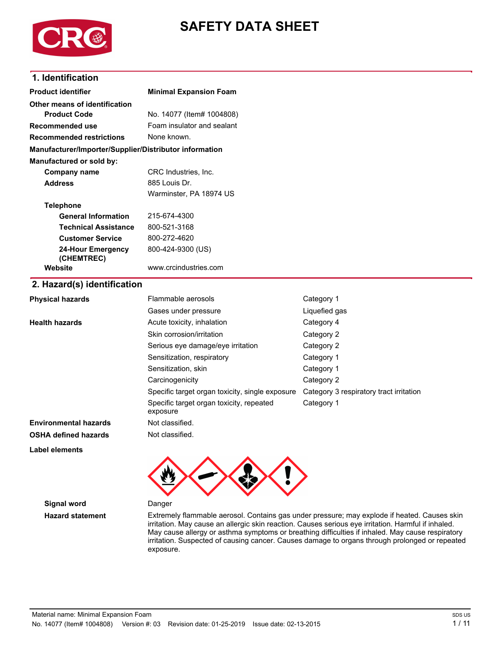

# **SAFETY DATA SHEET**

# **1. Identification**

| <b>Product identifier</b>                              |                                                      |                                         |  |  |
|--------------------------------------------------------|------------------------------------------------------|-----------------------------------------|--|--|
|                                                        | <b>Minimal Expansion Foam</b>                        |                                         |  |  |
| Other means of identification                          |                                                      |                                         |  |  |
| <b>Product Code</b>                                    | No. 14077 (Item# 1004808)                            |                                         |  |  |
| Recommended use                                        | Foam insulator and sealant<br>None known.            |                                         |  |  |
| <b>Recommended restrictions</b>                        |                                                      |                                         |  |  |
| Manufacturer/Importer/Supplier/Distributor information |                                                      |                                         |  |  |
| Manufactured or sold by:                               |                                                      |                                         |  |  |
| <b>Company name</b>                                    | CRC Industries, Inc.                                 |                                         |  |  |
| <b>Address</b>                                         | 885 Louis Dr.                                        |                                         |  |  |
|                                                        | Warminster, PA 18974 US                              |                                         |  |  |
| <b>Telephone</b>                                       |                                                      |                                         |  |  |
| <b>General Information</b>                             | 215-674-4300                                         |                                         |  |  |
| <b>Technical Assistance</b>                            | 800-521-3168                                         |                                         |  |  |
| <b>Customer Service</b>                                | 800-272-4620                                         |                                         |  |  |
| <b>24-Hour Emergency</b>                               | 800-424-9300 (US)<br>www.crcindustries.com           |                                         |  |  |
| (CHEMTREC)                                             |                                                      |                                         |  |  |
| Website                                                |                                                      |                                         |  |  |
| 2. Hazard(s) identification                            |                                                      |                                         |  |  |
| <b>Physical hazards</b>                                | Flammable aerosols                                   | Category 1                              |  |  |
|                                                        | Gases under pressure                                 | Liquefied gas                           |  |  |
| <b>Health hazards</b>                                  | Acute toxicity, inhalation                           | Category 4                              |  |  |
|                                                        | Skin corrosion/irritation                            | Category 2                              |  |  |
|                                                        | Serious eye damage/eye irritation                    | Category 2                              |  |  |
|                                                        | Sensitization, respiratory                           | Category 1                              |  |  |
|                                                        | Sensitization, skin                                  | Category 1                              |  |  |
|                                                        | Carcinogenicity                                      | Category 2                              |  |  |
|                                                        | Specific target organ toxicity, single exposure      | Category 3 respiratory tract irritation |  |  |
|                                                        | Specific target organ toxicity, repeated<br>exposure | Category 1                              |  |  |
| Environmental hazards                                  | Not classified.                                      |                                         |  |  |
|                                                        |                                                      |                                         |  |  |

# **OSHA defined hazards** Not classified.

**Label elements**



**Signal word** Danger

Hazard statement **Extremely flammable aerosol. Contains gas under pressure**; may explode if heated. Causes skin irritation. May cause an allergic skin reaction. Causes serious eye irritation. Harmful if inhaled. May cause allergy or asthma symptoms or breathing difficulties if inhaled. May cause respiratory irritation. Suspected of causing cancer. Causes damage to organs through prolonged or repeated exposure.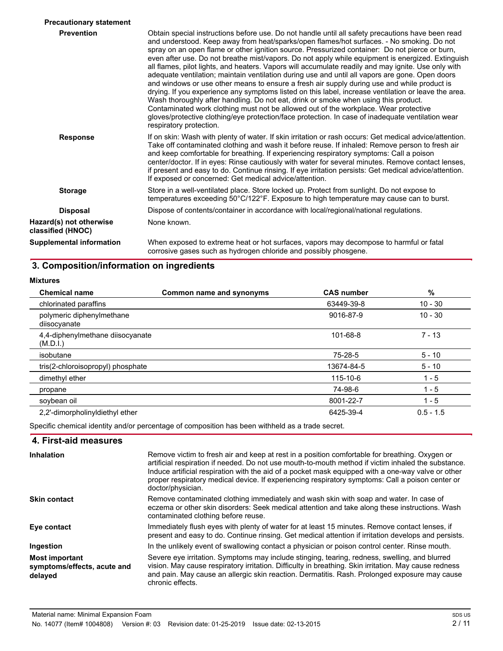| <b>Precautionary statement</b>               |                                                                                                                                                                                                                                                                                                                                                                                                                                                                                                                                                                                                                                                                                                                                                                                                                                                                                                                                                                                                                                                                                                                                       |
|----------------------------------------------|---------------------------------------------------------------------------------------------------------------------------------------------------------------------------------------------------------------------------------------------------------------------------------------------------------------------------------------------------------------------------------------------------------------------------------------------------------------------------------------------------------------------------------------------------------------------------------------------------------------------------------------------------------------------------------------------------------------------------------------------------------------------------------------------------------------------------------------------------------------------------------------------------------------------------------------------------------------------------------------------------------------------------------------------------------------------------------------------------------------------------------------|
| <b>Prevention</b>                            | Obtain special instructions before use. Do not handle until all safety precautions have been read<br>and understood. Keep away from heat/sparks/open flames/hot surfaces. - No smoking. Do not<br>spray on an open flame or other ignition source. Pressurized container: Do not pierce or burn,<br>even after use. Do not breathe mist/vapors. Do not apply while equipment is energized. Extinguish<br>all flames, pilot lights, and heaters. Vapors will accumulate readily and may ignite. Use only with<br>adequate ventilation; maintain ventilation during use and until all vapors are gone. Open doors<br>and windows or use other means to ensure a fresh air supply during use and while product is<br>drying. If you experience any symptoms listed on this label, increase ventilation or leave the area.<br>Wash thoroughly after handling. Do not eat, drink or smoke when using this product.<br>Contaminated work clothing must not be allowed out of the workplace. Wear protective<br>gloves/protective clothing/eye protection/face protection. In case of inadequate ventilation wear<br>respiratory protection. |
| <b>Response</b>                              | If on skin: Wash with plenty of water. If skin irritation or rash occurs: Get medical advice/attention.<br>Take off contaminated clothing and wash it before reuse. If inhaled: Remove person to fresh air<br>and keep comfortable for breathing. If experiencing respiratory symptoms: Call a poison<br>center/doctor. If in eyes: Rinse cautiously with water for several minutes. Remove contact lenses,<br>if present and easy to do. Continue rinsing. If eye irritation persists: Get medical advice/attention.<br>If exposed or concerned: Get medical advice/attention.                                                                                                                                                                                                                                                                                                                                                                                                                                                                                                                                                       |
| <b>Storage</b>                               | Store in a well-ventilated place. Store locked up. Protect from sunlight. Do not expose to<br>temperatures exceeding 50°C/122°F. Exposure to high temperature may cause can to burst.                                                                                                                                                                                                                                                                                                                                                                                                                                                                                                                                                                                                                                                                                                                                                                                                                                                                                                                                                 |
| <b>Disposal</b>                              | Dispose of contents/container in accordance with local/regional/national regulations.                                                                                                                                                                                                                                                                                                                                                                                                                                                                                                                                                                                                                                                                                                                                                                                                                                                                                                                                                                                                                                                 |
| Hazard(s) not otherwise<br>classified (HNOC) | None known.                                                                                                                                                                                                                                                                                                                                                                                                                                                                                                                                                                                                                                                                                                                                                                                                                                                                                                                                                                                                                                                                                                                           |
| Supplemental information                     | When exposed to extreme heat or hot surfaces, vapors may decompose to harmful or fatal<br>corrosive gases such as hydrogen chloride and possibly phosgene.                                                                                                                                                                                                                                                                                                                                                                                                                                                                                                                                                                                                                                                                                                                                                                                                                                                                                                                                                                            |

# **3. Composition/information on ingredients**

| <b>Mixtures</b>                              |                          |                   |             |
|----------------------------------------------|--------------------------|-------------------|-------------|
| <b>Chemical name</b>                         | Common name and synonyms | <b>CAS number</b> | $\%$        |
| chlorinated paraffins                        |                          | 63449-39-8        | $10 - 30$   |
| polymeric diphenylmethane<br>diisocyanate    |                          | 9016-87-9         | $10 - 30$   |
| 4,4-diphenylmethane diisocyanate<br>(M.D.1.) |                          | 101-68-8          | $7 - 13$    |
| isobutane                                    |                          | 75-28-5           | $5 - 10$    |
| tris(2-chloroisopropyl) phosphate            |                          | 13674-84-5        | $5 - 10$    |
| dimethyl ether                               |                          | 115-10-6          | $1 - 5$     |
| propane                                      |                          | 74-98-6           | $1 - 5$     |
| soybean oil                                  |                          | 8001-22-7         | $1 - 5$     |
| 2.2'-dimorpholinyldiethyl ether              |                          | 6425-39-4         | $0.5 - 1.5$ |

Specific chemical identity and/or percentage of composition has been withheld as a trade secret.

### **4. First-aid measures**

| <b>Inhalation</b>                                               | Remove victim to fresh air and keep at rest in a position comfortable for breathing. Oxygen or<br>artificial respiration if needed. Do not use mouth-to-mouth method if victim inhaled the substance.<br>Induce artificial respiration with the aid of a pocket mask equipped with a one-way valve or other<br>proper respiratory medical device. If experiencing respiratory symptoms: Call a poison center or<br>doctor/physician. |
|-----------------------------------------------------------------|--------------------------------------------------------------------------------------------------------------------------------------------------------------------------------------------------------------------------------------------------------------------------------------------------------------------------------------------------------------------------------------------------------------------------------------|
| <b>Skin contact</b>                                             | Remove contaminated clothing immediately and wash skin with soap and water. In case of<br>eczema or other skin disorders: Seek medical attention and take along these instructions. Wash<br>contaminated clothing before reuse.                                                                                                                                                                                                      |
| Eye contact                                                     | Immediately flush eyes with plenty of water for at least 15 minutes. Remove contact lenses, if<br>present and easy to do. Continue rinsing. Get medical attention if irritation develops and persists.                                                                                                                                                                                                                               |
| Ingestion                                                       | In the unlikely event of swallowing contact a physician or poison control center. Rinse mouth.                                                                                                                                                                                                                                                                                                                                       |
| <b>Most important</b><br>symptoms/effects, acute and<br>delayed | Severe eye irritation. Symptoms may include stinging, tearing, redness, swelling, and blurred<br>vision. May cause respiratory irritation. Difficulty in breathing. Skin irritation. May cause redness<br>and pain. May cause an allergic skin reaction. Dermatitis. Rash. Prolonged exposure may cause<br>chronic effects.                                                                                                          |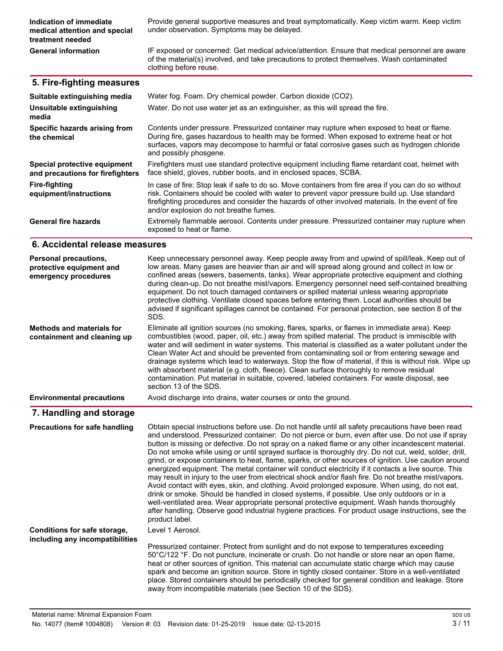| Indication of immediate<br>medical attention and special<br>treatment needed | Provide general supportive measures and treat symptomatically. Keep victim warm. Keep victim<br>under observation. Symptoms may be delayed.                                                                                                                                                                                                           |
|------------------------------------------------------------------------------|-------------------------------------------------------------------------------------------------------------------------------------------------------------------------------------------------------------------------------------------------------------------------------------------------------------------------------------------------------|
| <b>General information</b>                                                   | IF exposed or concerned: Get medical advice/attention. Ensure that medical personnel are aware<br>of the material(s) involved, and take precautions to protect themselves. Wash contaminated<br>clothing before reuse.                                                                                                                                |
| 5. Fire-fighting measures                                                    |                                                                                                                                                                                                                                                                                                                                                       |
| Suitable extinguishing media                                                 | Water fog. Foam. Dry chemical powder. Carbon dioxide (CO2).                                                                                                                                                                                                                                                                                           |
| Unsuitable extinguishing<br>media                                            | Water. Do not use water jet as an extinguisher, as this will spread the fire.                                                                                                                                                                                                                                                                         |
| Specific hazards arising from<br>the chemical                                | Contents under pressure. Pressurized container may rupture when exposed to heat or flame.<br>During fire, gases hazardous to health may be formed. When exposed to extreme heat or hot<br>surfaces, vapors may decompose to harmful or fatal corrosive gases such as hydrogen chloride<br>and possibly phosgene.                                      |
| Special protective equipment<br>and precautions for firefighters             | Firefighters must use standard protective equipment including flame retardant coat, helmet with<br>face shield, gloves, rubber boots, and in enclosed spaces, SCBA.                                                                                                                                                                                   |
| <b>Fire-fighting</b><br>equipment/instructions                               | In case of fire: Stop leak if safe to do so. Move containers from fire area if you can do so without<br>risk. Containers should be cooled with water to prevent vapor pressure build up. Use standard<br>firefighting procedures and consider the hazards of other involved materials. In the event of fire<br>and/or explosion do not breathe fumes. |
| <b>General fire hazards</b>                                                  | Extremely flammable aerosol. Contents under pressure. Pressurized container may rupture when<br>exposed to heat or flame.                                                                                                                                                                                                                             |
| 6. Accidental release measures                                               |                                                                                                                                                                                                                                                                                                                                                       |

| Personal precautions,<br>protective equipment and<br>emergency procedures | Keep unnecessary personnel away. Keep people away from and upwind of spill/leak. Keep out of<br>low areas. Many gases are heavier than air and will spread along ground and collect in low or<br>confined areas (sewers, basements, tanks). Wear appropriate protective equipment and clothing<br>during clean-up. Do not breathe mist/vapors. Emergency personnel need self-contained breathing<br>equipment. Do not touch damaged containers or spilled material unless wearing appropriate<br>protective clothing. Ventilate closed spaces before entering them. Local authorities should be<br>advised if significant spillages cannot be contained. For personal protection, see section 8 of the<br>SDS.                             |
|---------------------------------------------------------------------------|--------------------------------------------------------------------------------------------------------------------------------------------------------------------------------------------------------------------------------------------------------------------------------------------------------------------------------------------------------------------------------------------------------------------------------------------------------------------------------------------------------------------------------------------------------------------------------------------------------------------------------------------------------------------------------------------------------------------------------------------|
| <b>Methods and materials for</b><br>containment and cleaning up           | Eliminate all ignition sources (no smoking, flares, sparks, or flames in immediate area). Keep<br>combustibles (wood, paper, oil, etc.) away from spilled material. The product is immiscible with<br>water and will sediment in water systems. This material is classified as a water pollutant under the<br>Clean Water Act and should be prevented from contaminating soil or from entering sewage and<br>drainage systems which lead to waterways. Stop the flow of material, if this is without risk. Wipe up<br>with absorbent material (e.g. cloth, fleece). Clean surface thoroughly to remove residual<br>contamination. Put material in suitable, covered, labeled containers. For waste disposal, see<br>section 13 of the SDS. |
| <b>Environmental precautions</b>                                          | Avoid discharge into drains, water courses or onto the ground.                                                                                                                                                                                                                                                                                                                                                                                                                                                                                                                                                                                                                                                                             |
| 7. Handling and storage                                                   |                                                                                                                                                                                                                                                                                                                                                                                                                                                                                                                                                                                                                                                                                                                                            |
| <b>Precautions for safe handling</b>                                      | Obtain special instructions before use. Do not handle until all safety precautions have been read<br>and understood. Pressurized container: Do not pierce or burn, even after use. Do not use if spray<br>button is missing or defective. Do not spray on a naked flame or any other incandescent material.<br>Do not smoke while using or until sprayed surface is thoroughly dry. Do not cut, weld, solder, drill,<br>grind, or expose containers to heat, flame, sparks, or other sources of ignition. Use caution around                                                                                                                                                                                                               |

grind, or expose containers to heat, flame, sparks, or other sources of ignition. Use caution around energized equipment. The metal container will conduct electricity ir it contacts a live source. This may result in injury to the user from electrical shock and/or flash fire. Do not breathe mist/vapors. Avoid contact with eyes, skin, and clothing. Avoid prolonged exposure. When using, do not eat, drink or smoke. Should be handled in closed systems, ir possible. Use only outdoors or in a well-ventilated area. Wear appropriate personal protective equipment. Wash hands thoroughly after handling. Observe good industrial hygiene practices. For product usage instructions, see the product label. Level 1 Aerosol. Pressurized container. Protect from sunlight and do not expose to temperatures exceeding 50°C/122 °F. Do not puncture, incinerate or crush. Do not handle or store near an open rlame, heat or other sources of ignition. This material can accumulate static charge which may cause spark and become an ignition source. Store in tightly closed container. Store in a well-ventilated **Conditions for safe storage, including any incompatibilities**

away from incompatible materials (see Section 10 of the SDS).

place. Stored containers should be periodically checked for general condition and leakage. Store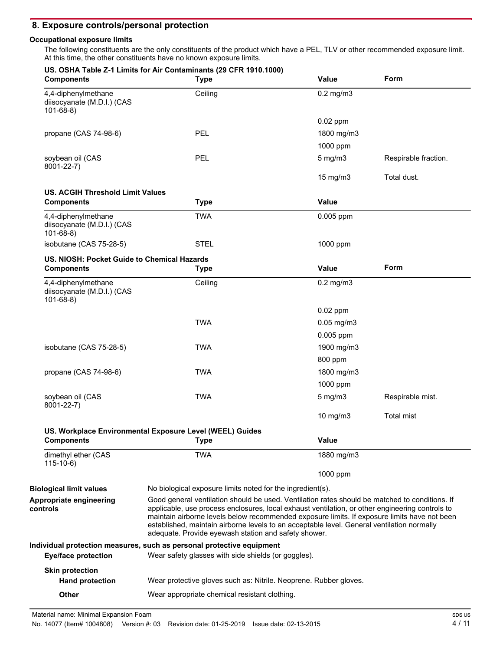## **8. Exposure controls/personal protection**

### **Occupational exposure limits**

The following constituents are the only constituents of the product which have a PEL, TLV or other recommended exposure limit. At this time, the other constituents have no known exposure limits.

| <b>Components</b>                                                   | <b>Type</b>                                                                                                                                                                                                                                                                                                                                                                                                                                             | <b>Value</b>    | Form                 |
|---------------------------------------------------------------------|---------------------------------------------------------------------------------------------------------------------------------------------------------------------------------------------------------------------------------------------------------------------------------------------------------------------------------------------------------------------------------------------------------------------------------------------------------|-----------------|----------------------|
| 4,4-diphenylmethane<br>diisocyanate (M.D.I.) (CAS<br>$101 - 68 - 8$ | Ceiling                                                                                                                                                                                                                                                                                                                                                                                                                                                 | $0.2$ mg/m $3$  |                      |
|                                                                     |                                                                                                                                                                                                                                                                                                                                                                                                                                                         | $0.02$ ppm      |                      |
| propane (CAS 74-98-6)                                               | <b>PEL</b>                                                                                                                                                                                                                                                                                                                                                                                                                                              | 1800 mg/m3      |                      |
|                                                                     |                                                                                                                                                                                                                                                                                                                                                                                                                                                         | 1000 ppm        |                      |
| soybean oil (CAS<br>8001-22-7)                                      | <b>PEL</b>                                                                                                                                                                                                                                                                                                                                                                                                                                              | $5$ mg/m $3$    | Respirable fraction. |
|                                                                     |                                                                                                                                                                                                                                                                                                                                                                                                                                                         | 15 mg/m3        | Total dust.          |
| <b>US. ACGIH Threshold Limit Values</b>                             |                                                                                                                                                                                                                                                                                                                                                                                                                                                         |                 |                      |
| <b>Components</b>                                                   | <b>Type</b>                                                                                                                                                                                                                                                                                                                                                                                                                                             | <b>Value</b>    |                      |
| 4,4-diphenylmethane<br>diisocyanate (M.D.I.) (CAS<br>$101 - 68 - 8$ | <b>TWA</b>                                                                                                                                                                                                                                                                                                                                                                                                                                              | $0.005$ ppm     |                      |
| isobutane (CAS 75-28-5)                                             | <b>STEL</b>                                                                                                                                                                                                                                                                                                                                                                                                                                             | 1000 ppm        |                      |
| US. NIOSH: Pocket Guide to Chemical Hazards                         |                                                                                                                                                                                                                                                                                                                                                                                                                                                         |                 |                      |
| <b>Components</b>                                                   | <b>Type</b>                                                                                                                                                                                                                                                                                                                                                                                                                                             | <b>Value</b>    | Form                 |
| 4,4-diphenylmethane<br>diisocyanate (M.D.I.) (CAS<br>$101 - 68 - 8$ | Ceiling                                                                                                                                                                                                                                                                                                                                                                                                                                                 | $0.2$ mg/m $3$  |                      |
|                                                                     |                                                                                                                                                                                                                                                                                                                                                                                                                                                         | $0.02$ ppm      |                      |
|                                                                     | <b>TWA</b>                                                                                                                                                                                                                                                                                                                                                                                                                                              | $0.05$ mg/m $3$ |                      |
|                                                                     |                                                                                                                                                                                                                                                                                                                                                                                                                                                         | 0.005 ppm       |                      |
| isobutane (CAS 75-28-5)                                             | <b>TWA</b>                                                                                                                                                                                                                                                                                                                                                                                                                                              | 1900 mg/m3      |                      |
|                                                                     |                                                                                                                                                                                                                                                                                                                                                                                                                                                         | 800 ppm         |                      |
| propane (CAS 74-98-6)                                               | <b>TWA</b>                                                                                                                                                                                                                                                                                                                                                                                                                                              | 1800 mg/m3      |                      |
|                                                                     |                                                                                                                                                                                                                                                                                                                                                                                                                                                         | 1000 ppm        |                      |
| soybean oil (CAS<br>8001-22-7)                                      | <b>TWA</b>                                                                                                                                                                                                                                                                                                                                                                                                                                              | $5$ mg/m $3$    | Respirable mist.     |
|                                                                     |                                                                                                                                                                                                                                                                                                                                                                                                                                                         | 10 mg/m $3$     | <b>Total mist</b>    |
| <b>Components</b>                                                   | US. Workplace Environmental Exposure Level (WEEL) Guides<br><b>Type</b>                                                                                                                                                                                                                                                                                                                                                                                 | <b>Value</b>    |                      |
| dimethyl ether (CAS                                                 | <b>TWA</b>                                                                                                                                                                                                                                                                                                                                                                                                                                              | 1880 mg/m3      |                      |
| $115-10-6$                                                          |                                                                                                                                                                                                                                                                                                                                                                                                                                                         | 1000 ppm        |                      |
| <b>Biological limit values</b>                                      | No biological exposure limits noted for the ingredient(s).                                                                                                                                                                                                                                                                                                                                                                                              |                 |                      |
| Appropriate engineering<br>controls                                 | Good general ventilation should be used. Ventilation rates should be matched to conditions. If<br>applicable, use process enclosures, local exhaust ventilation, or other engineering controls to<br>maintain airborne levels below recommended exposure limits. If exposure limits have not been<br>established, maintain airborne levels to an acceptable level. General ventilation normally<br>adequate. Provide eyewash station and safety shower. |                 |                      |
| <b>Eye/face protection</b>                                          | Individual protection measures, such as personal protective equipment<br>Wear safety glasses with side shields (or goggles).                                                                                                                                                                                                                                                                                                                            |                 |                      |
| <b>Skin protection</b><br><b>Hand protection</b>                    | Wear protective gloves such as: Nitrile. Neoprene. Rubber gloves.                                                                                                                                                                                                                                                                                                                                                                                       |                 |                      |
| Other                                                               | Wear appropriate chemical resistant clothing.                                                                                                                                                                                                                                                                                                                                                                                                           |                 |                      |

Material name: Minimal Expansion Foam

No. 14077 (Item# 1004808) Version #: 03 Revision date: 01-25-2019 Issue date: 02-13-2015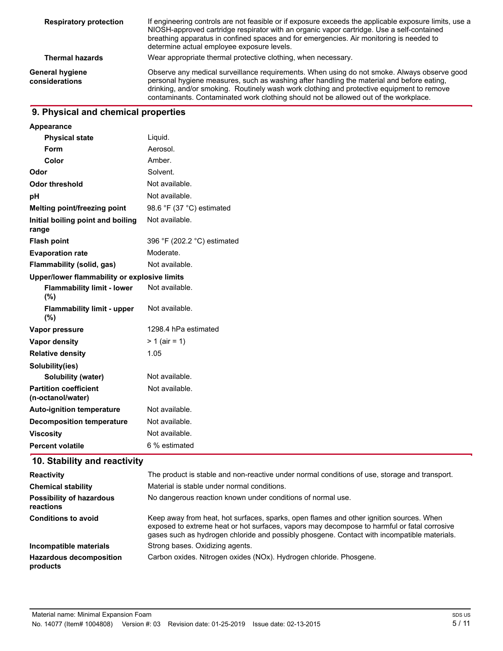| <b>Respiratory protection</b>     | If engineering controls are not feasible or if exposure exceeds the applicable exposure limits, use a<br>NIOSH-approved cartridge respirator with an organic vapor cartridge. Use a self-contained<br>breathing apparatus in confined spaces and for emergencies. Air monitoring is needed to<br>determine actual employee exposure levels.                                   |  |
|-----------------------------------|-------------------------------------------------------------------------------------------------------------------------------------------------------------------------------------------------------------------------------------------------------------------------------------------------------------------------------------------------------------------------------|--|
| <b>Thermal hazards</b>            | Wear appropriate thermal protective clothing, when necessary.                                                                                                                                                                                                                                                                                                                 |  |
| General hygiene<br>considerations | Observe any medical surveillance requirements. When using do not smoke. Always observe good<br>personal hygiene measures, such as washing after handling the material and before eating,<br>drinking, and/or smoking. Routinely wash work clothing and protective equipment to remove<br>contaminants. Contaminated work clothing should not be allowed out of the workplace. |  |

## **9. Physical and chemical properties**

| Liquid.                                      |
|----------------------------------------------|
| Aerosol.                                     |
| Amber.                                       |
| Solvent.                                     |
| Not available.                               |
| Not available.                               |
| 98.6 °F (37 °C) estimated                    |
| Not available.                               |
| 396 °F (202.2 °C) estimated                  |
| Moderate.                                    |
| Not available.                               |
| Upper/lower flammability or explosive limits |
| Not available.                               |
| Not available.                               |
| 1298.4 hPa estimated                         |
| $> 1$ (air = 1)                              |
| 1.05                                         |
|                                              |
| Not available.                               |
| Not available.                               |
| Not available.                               |
| Not available.                               |
| Not available.                               |
|                                              |
|                                              |

# **10. Stability and reactivity**

| <b>Reactivity</b>                            | The product is stable and non-reactive under normal conditions of use, storage and transport.                                                                                                                                                                                         |
|----------------------------------------------|---------------------------------------------------------------------------------------------------------------------------------------------------------------------------------------------------------------------------------------------------------------------------------------|
| <b>Chemical stability</b>                    | Material is stable under normal conditions.                                                                                                                                                                                                                                           |
| <b>Possibility of hazardous</b><br>reactions | No dangerous reaction known under conditions of normal use.                                                                                                                                                                                                                           |
| <b>Conditions to avoid</b>                   | Keep away from heat, hot surfaces, sparks, open flames and other ignition sources. When<br>exposed to extreme heat or hot surfaces, vapors may decompose to harmful or fatal corrosive<br>gases such as hydrogen chloride and possibly phosgene. Contact with incompatible materials. |
| Incompatible materials                       | Strong bases. Oxidizing agents.                                                                                                                                                                                                                                                       |
| <b>Hazardous decomposition</b><br>products   | Carbon oxides. Nitrogen oxides (NOx). Hydrogen chloride. Phosgene.                                                                                                                                                                                                                    |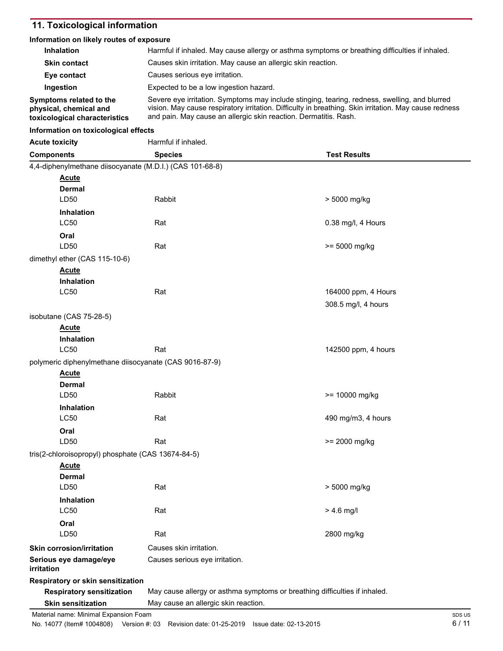# **11. Toxicological information**

### **Information on likely routes of exposure**

| Inhalation                                                                         | Harmful if inhaled. May cause allergy or asthma symptoms or breathing difficulties if inhaled.                                                                                                                                                                             |                     |
|------------------------------------------------------------------------------------|----------------------------------------------------------------------------------------------------------------------------------------------------------------------------------------------------------------------------------------------------------------------------|---------------------|
| <b>Skin contact</b>                                                                | Causes skin irritation. May cause an allergic skin reaction.                                                                                                                                                                                                               |                     |
| Eye contact                                                                        | Causes serious eye irritation.                                                                                                                                                                                                                                             |                     |
| Ingestion                                                                          | Expected to be a low ingestion hazard.                                                                                                                                                                                                                                     |                     |
| Symptoms related to the<br>physical, chemical and<br>toxicological characteristics | Severe eye irritation. Symptoms may include stinging, tearing, redness, swelling, and blurred<br>vision. May cause respiratory irritation. Difficulty in breathing. Skin irritation. May cause redness<br>and pain. May cause an allergic skin reaction. Dermatitis. Rash. |                     |
| Information on toxicological effects                                               |                                                                                                                                                                                                                                                                            |                     |
| <b>Acute toxicity</b>                                                              | Harmful if inhaled.                                                                                                                                                                                                                                                        |                     |
| <b>Components</b>                                                                  | <b>Species</b>                                                                                                                                                                                                                                                             | <b>Test Results</b> |
| 4,4-diphenylmethane diisocyanate (M.D.I.) (CAS 101-68-8)                           |                                                                                                                                                                                                                                                                            |                     |
| <b>Acute</b><br>Dermal                                                             |                                                                                                                                                                                                                                                                            |                     |
| LD50                                                                               | Rabbit                                                                                                                                                                                                                                                                     | > 5000 mg/kg        |
| <b>Inhalation</b><br><b>LC50</b>                                                   | Rat                                                                                                                                                                                                                                                                        | 0.38 mg/l, 4 Hours  |
| Oral                                                                               |                                                                                                                                                                                                                                                                            |                     |
| LD50                                                                               | Rat                                                                                                                                                                                                                                                                        | $>= 5000$ mg/kg     |
| dimethyl ether (CAS 115-10-6)                                                      |                                                                                                                                                                                                                                                                            |                     |
| <b>Acute</b>                                                                       |                                                                                                                                                                                                                                                                            |                     |
| <b>Inhalation</b>                                                                  |                                                                                                                                                                                                                                                                            |                     |
| <b>LC50</b>                                                                        | Rat                                                                                                                                                                                                                                                                        | 164000 ppm, 4 Hours |
|                                                                                    |                                                                                                                                                                                                                                                                            | 308.5 mg/l, 4 hours |
| isobutane (CAS 75-28-5)                                                            |                                                                                                                                                                                                                                                                            |                     |
| Acute                                                                              |                                                                                                                                                                                                                                                                            |                     |
| <b>Inhalation</b>                                                                  |                                                                                                                                                                                                                                                                            |                     |
| <b>LC50</b>                                                                        | Rat                                                                                                                                                                                                                                                                        | 142500 ppm, 4 hours |
| polymeric diphenylmethane diisocyanate (CAS 9016-87-9)                             |                                                                                                                                                                                                                                                                            |                     |
| <b>Acute</b>                                                                       |                                                                                                                                                                                                                                                                            |                     |
| Dermal                                                                             |                                                                                                                                                                                                                                                                            |                     |
| LD50                                                                               | Rabbit                                                                                                                                                                                                                                                                     | $>= 10000$ mg/kg    |
| <b>Inhalation</b>                                                                  |                                                                                                                                                                                                                                                                            |                     |
| <b>LC50</b>                                                                        | Rat                                                                                                                                                                                                                                                                        | 490 mg/m3, 4 hours  |
| Oral                                                                               |                                                                                                                                                                                                                                                                            |                     |
| LD50                                                                               | Rat                                                                                                                                                                                                                                                                        | >= 2000 mg/kg       |
| tris(2-chloroisopropyl) phosphate (CAS 13674-84-5)                                 |                                                                                                                                                                                                                                                                            |                     |
| <u>Acute</u><br>Dermal                                                             |                                                                                                                                                                                                                                                                            |                     |
| LD50                                                                               | Rat                                                                                                                                                                                                                                                                        | > 5000 mg/kg        |
| Inhalation<br><b>LC50</b>                                                          | Rat                                                                                                                                                                                                                                                                        | $> 4.6$ mg/l        |
| Oral                                                                               |                                                                                                                                                                                                                                                                            |                     |
| LD50                                                                               | Rat                                                                                                                                                                                                                                                                        | 2800 mg/kg          |
| <b>Skin corrosion/irritation</b>                                                   | Causes skin irritation.                                                                                                                                                                                                                                                    |                     |
| Serious eye damage/eye<br><i>irritation</i>                                        | Causes serious eye irritation.                                                                                                                                                                                                                                             |                     |
| Respiratory or skin sensitization                                                  |                                                                                                                                                                                                                                                                            |                     |
| <b>Respiratory sensitization</b>                                                   | May cause allergy or asthma symptoms or breathing difficulties if inhaled.                                                                                                                                                                                                 |                     |
| <b>Skin sensitization</b>                                                          | May cause an allergic skin reaction.                                                                                                                                                                                                                                       |                     |
| Material name: Minimal Expansion Foam                                              |                                                                                                                                                                                                                                                                            | SDS US              |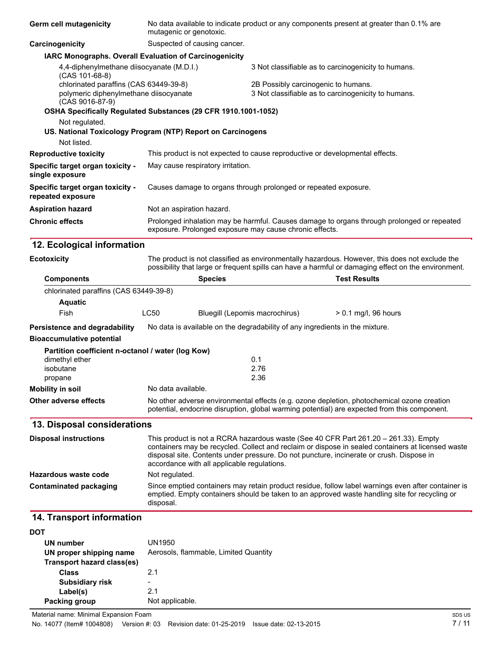| <b>Germ cell mutagenicity</b>                                 | No data available to indicate product or any components present at greater than 0.1% are<br>mutagenic or genotoxic.                                                                                      |                                                     |  |
|---------------------------------------------------------------|----------------------------------------------------------------------------------------------------------------------------------------------------------------------------------------------------------|-----------------------------------------------------|--|
| Carcinogenicity                                               | Suspected of causing cancer.                                                                                                                                                                             |                                                     |  |
|                                                               | <b>IARC Monographs. Overall Evaluation of Carcinogenicity</b>                                                                                                                                            |                                                     |  |
| 4,4-diphenylmethane diisocyanate (M.D.I.)<br>$(CAS 101-68-8)$ |                                                                                                                                                                                                          | 3 Not classifiable as to carcinogenicity to humans. |  |
| chlorinated paraffins (CAS 63449-39-8)                        |                                                                                                                                                                                                          | 2B Possibly carcinogenic to humans.                 |  |
| polymeric diphenylmethane diisocyanate<br>$(CAS 9016-87-9)$   |                                                                                                                                                                                                          | 3 Not classifiable as to carcinogenicity to humans. |  |
|                                                               | OSHA Specifically Regulated Substances (29 CFR 1910.1001-1052)                                                                                                                                           |                                                     |  |
| Not regulated.                                                | US. National Toxicology Program (NTP) Report on Carcinogens                                                                                                                                              |                                                     |  |
| Not listed.                                                   |                                                                                                                                                                                                          |                                                     |  |
| <b>Reproductive toxicity</b>                                  | This product is not expected to cause reproductive or developmental effects.                                                                                                                             |                                                     |  |
| Specific target organ toxicity -<br>single exposure           | May cause respiratory irritation.                                                                                                                                                                        |                                                     |  |
| Specific target organ toxicity -<br>repeated exposure         | Causes damage to organs through prolonged or repeated exposure.                                                                                                                                          |                                                     |  |
| <b>Aspiration hazard</b>                                      | Not an aspiration hazard.                                                                                                                                                                                |                                                     |  |
| <b>Chronic effects</b>                                        | Prolonged inhalation may be harmful. Causes damage to organs through prolonged or repeated<br>exposure. Prolonged exposure may cause chronic effects.                                                    |                                                     |  |
| 12. Ecological information                                    |                                                                                                                                                                                                          |                                                     |  |
| <b>Ecotoxicity</b>                                            | The product is not classified as environmentally hazardous. However, this does not exclude the<br>saasikiitto that lassa as feasurant anilla aan haun a hassaful as damaasina affaat an tha anuisannanat |                                                     |  |

|                                                   |                                                                                                                                                                                                                                                                                                                                     |                                | possibility that large or frequent spills can have a harmful or damaging effect on the environment. |  |
|---------------------------------------------------|-------------------------------------------------------------------------------------------------------------------------------------------------------------------------------------------------------------------------------------------------------------------------------------------------------------------------------------|--------------------------------|-----------------------------------------------------------------------------------------------------|--|
| <b>Components</b>                                 |                                                                                                                                                                                                                                                                                                                                     | <b>Species</b>                 | <b>Test Results</b>                                                                                 |  |
| chlorinated paraffins (CAS 63449-39-8)            |                                                                                                                                                                                                                                                                                                                                     |                                |                                                                                                     |  |
| <b>Aquatic</b>                                    |                                                                                                                                                                                                                                                                                                                                     |                                |                                                                                                     |  |
| <b>Fish</b>                                       | LC50                                                                                                                                                                                                                                                                                                                                | Bluegill (Lepomis macrochirus) | $> 0.1$ mg/l, 96 hours                                                                              |  |
| Persistence and degradability                     | No data is available on the degradability of any ingredients in the mixture.                                                                                                                                                                                                                                                        |                                |                                                                                                     |  |
| <b>Bioaccumulative potential</b>                  |                                                                                                                                                                                                                                                                                                                                     |                                |                                                                                                     |  |
| Partition coefficient n-octanol / water (log Kow) |                                                                                                                                                                                                                                                                                                                                     |                                |                                                                                                     |  |
| dimethyl ether                                    |                                                                                                                                                                                                                                                                                                                                     | 0.1                            |                                                                                                     |  |
| isobutane                                         |                                                                                                                                                                                                                                                                                                                                     | 2.76                           |                                                                                                     |  |
| propane                                           |                                                                                                                                                                                                                                                                                                                                     | 2.36                           |                                                                                                     |  |
| <b>Mobility in soil</b>                           |                                                                                                                                                                                                                                                                                                                                     | No data available.             |                                                                                                     |  |
| <b>Other adverse effects</b>                      | No other adverse environmental effects (e.g. ozone depletion, photochemical ozone creation<br>potential, endocrine disruption, global warming potential) are expected from this component.                                                                                                                                          |                                |                                                                                                     |  |
| 13. Disposal considerations                       |                                                                                                                                                                                                                                                                                                                                     |                                |                                                                                                     |  |
| <b>Disposal instructions</b>                      | This product is not a RCRA hazardous waste (See 40 CFR Part 261.20 – 261.33). Empty<br>containers may be recycled. Collect and reclaim or dispose in sealed containers at licensed waste<br>disposal site. Contents under pressure. Do not puncture, incinerate or crush. Dispose in<br>accordance with all applicable regulations. |                                |                                                                                                     |  |
| Hazardous waste code                              | Not regulated.                                                                                                                                                                                                                                                                                                                      |                                |                                                                                                     |  |
| <b>Contaminated packaging</b>                     |                                                                                                                                                                                                                                                                                                                                     |                                | Since emptied containers may retain product residue, follow label warnings even after container is  |  |

emptied. Empty containers should be taken to an approved waste handling site for recycling or

# **14. Transport information**

| DOT                        |                                       |
|----------------------------|---------------------------------------|
| UN number                  | UN1950                                |
| UN proper shipping name    | Aerosols, flammable, Limited Quantity |
| Transport hazard class(es) |                                       |
| Class                      | 21                                    |
| <b>Subsidiary risk</b>     | -                                     |
| Label(s)                   | 21                                    |
| Packing group              | Not applicable.                       |

disposal.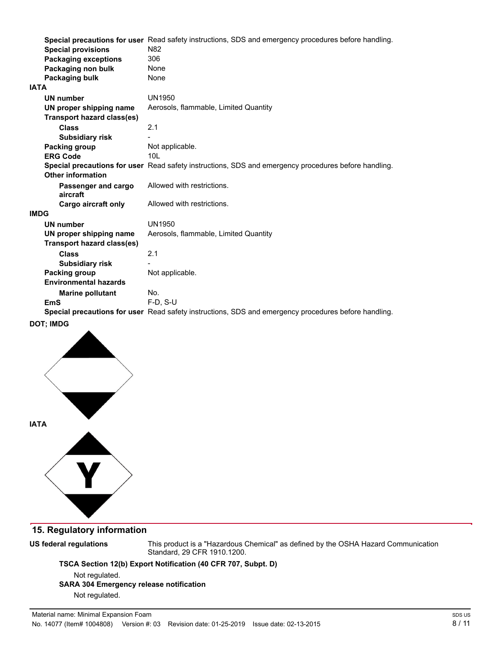|                                   | Special precautions for user Read safety instructions, SDS and emergency procedures before handling. |
|-----------------------------------|------------------------------------------------------------------------------------------------------|
| <b>Special provisions</b>         | N <sub>82</sub>                                                                                      |
| <b>Packaging exceptions</b>       | 306                                                                                                  |
| Packaging non bulk                | None                                                                                                 |
| Packaging bulk                    | None                                                                                                 |
| <b>IATA</b>                       |                                                                                                      |
| <b>UN number</b>                  | UN1950                                                                                               |
| UN proper shipping name           | Aerosols, flammable, Limited Quantity                                                                |
| <b>Transport hazard class(es)</b> |                                                                                                      |
| <b>Class</b>                      | 2.1                                                                                                  |
| <b>Subsidiary risk</b>            |                                                                                                      |
| Packing group                     | Not applicable.                                                                                      |
| <b>ERG Code</b>                   | 101                                                                                                  |
|                                   | Special precautions for user Read safety instructions, SDS and emergency procedures before handling. |
| <b>Other information</b>          |                                                                                                      |
| Passenger and cargo<br>aircraft   | Allowed with restrictions.                                                                           |
| <b>Cargo aircraft only</b>        | Allowed with restrictions.                                                                           |
| <b>IMDG</b>                       |                                                                                                      |
| <b>UN number</b>                  | UN1950                                                                                               |
| UN proper shipping name           | Aerosols, flammable, Limited Quantity                                                                |
| <b>Transport hazard class(es)</b> |                                                                                                      |
| <b>Class</b>                      | 2.1                                                                                                  |
| <b>Subsidiary risk</b>            |                                                                                                      |
| Packing group                     | Not applicable.                                                                                      |
| <b>Environmental hazards</b>      |                                                                                                      |
| <b>Marine pollutant</b>           | No.                                                                                                  |
| <b>EmS</b>                        | $F-D. S-U$                                                                                           |
|                                   | Special precautions for user Read safety instructions, SDS and emergency procedures before handling. |

**DOT; IMDG**



## **15. Regulatory information**

**US federal regulations**

This product is a "Hazardous Chemical" as derined by the OSHA Hazard Communication Standard, 29 CFR 1910.1200.

**TSCA Section 12(b) Export Notification (40 CFR 707, Subpt. D)** 

Not regulated. **SARA 304 Emergency release notification** Not regulated.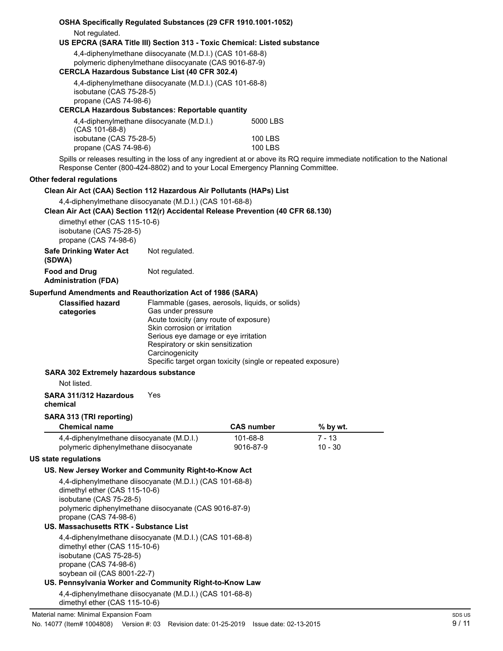| Not regulated.<br>US EPCRA (SARA Title III) Section 313 - Toxic Chemical: Listed substance<br>4,4-diphenylmethane diisocyanate (M.D.I.) (CAS 101-68-8)<br>polymeric diphenylmethane diisocyanate (CAS 9016-87-9)<br><b>CERCLA Hazardous Substance List (40 CFR 302.4)</b><br>4,4-diphenylmethane diisocyanate (M.D.I.) (CAS 101-68-8)<br>isobutane (CAS 75-28-5)<br>propane (CAS 74-98-6)<br><b>CERCLA Hazardous Substances: Reportable quantity</b><br>4,4-diphenylmethane diisocyanate (M.D.I.)<br>5000 LBS<br>$(CAS 101-68-8)$<br>isobutane (CAS 75-28-5)<br><b>100 LBS</b><br>propane (CAS 74-98-6)<br><b>100 LBS</b><br>Spills or releases resulting in the loss of any ingredient at or above its RQ require immediate notification to the National<br>Response Center (800-424-8802) and to your Local Emergency Planning Committee.<br>Other federal regulations<br>Clean Air Act (CAA) Section 112 Hazardous Air Pollutants (HAPs) List<br>4,4-diphenylmethane diisocyanate (M.D.I.) (CAS 101-68-8)<br>Clean Air Act (CAA) Section 112(r) Accidental Release Prevention (40 CFR 68.130)<br>dimethyl ether (CAS 115-10-6)<br>isobutane (CAS 75-28-5)<br>propane (CAS 74-98-6)<br><b>Safe Drinking Water Act</b><br>Not regulated.<br>(SDWA)<br>Not regulated.<br><b>Food and Drug</b><br><b>Administration (FDA)</b><br>Superfund Amendments and Reauthorization Act of 1986 (SARA)<br>Flammable (gases, aerosols, liquids, or solids)<br><b>Classified hazard</b><br>Gas under pressure<br>categories<br>Acute toxicity (any route of exposure)<br>Skin corrosion or irritation<br>Serious eye damage or eye irritation<br>Respiratory or skin sensitization<br>Carcinogenicity<br>Specific target organ toxicity (single or repeated exposure)<br>SARA 302 Extremely hazardous substance<br>Not listed.<br>Yes<br>SARA 311/312 Hazardous<br>chemical<br>SARA 313 (TRI reporting)<br><b>Chemical name</b><br><b>CAS number</b><br>% by wt.<br>101-68-8<br>4,4-diphenylmethane diisocyanate (M.D.I.)<br>$7 - 13$<br>polymeric diphenylmethane diisocyanate<br>9016-87-9<br>10 - 30<br><b>US state regulations</b><br>US. New Jersey Worker and Community Right-to-Know Act<br>4,4-diphenylmethane diisocyanate (M.D.I.) (CAS 101-68-8)<br>dimethyl ether (CAS 115-10-6)<br>isobutane (CAS 75-28-5)<br>polymeric diphenylmethane diisocyanate (CAS 9016-87-9)<br>propane (CAS 74-98-6)<br>US. Massachusetts RTK - Substance List<br>4,4-diphenylmethane diisocyanate (M.D.I.) (CAS 101-68-8)<br>dimethyl ether (CAS 115-10-6)<br>isobutane (CAS 75-28-5)<br>propane (CAS 74-98-6)<br>soybean oil (CAS 8001-22-7)<br>US. Pennsylvania Worker and Community Right-to-Know Law<br>4,4-diphenylmethane diisocyanate (M.D.I.) (CAS 101-68-8)<br>dimethyl ether (CAS 115-10-6)<br>Material name: Minimal Expansion Foam |                                                                |  |  |  |  |
|--------------------------------------------------------------------------------------------------------------------------------------------------------------------------------------------------------------------------------------------------------------------------------------------------------------------------------------------------------------------------------------------------------------------------------------------------------------------------------------------------------------------------------------------------------------------------------------------------------------------------------------------------------------------------------------------------------------------------------------------------------------------------------------------------------------------------------------------------------------------------------------------------------------------------------------------------------------------------------------------------------------------------------------------------------------------------------------------------------------------------------------------------------------------------------------------------------------------------------------------------------------------------------------------------------------------------------------------------------------------------------------------------------------------------------------------------------------------------------------------------------------------------------------------------------------------------------------------------------------------------------------------------------------------------------------------------------------------------------------------------------------------------------------------------------------------------------------------------------------------------------------------------------------------------------------------------------------------------------------------------------------------------------------------------------------------------------------------------------------------------------------------------------------------------------------------------------------------------------------------------------------------------------------------------------------------------------------------------------------------------------------------------------------------------------------------------------------------------------------------------------------------------------------------------------------------------------------------------------------------------------------------------------------------------------------------------------------------------------------------------------------------------------------------------------------------------|----------------------------------------------------------------|--|--|--|--|
|                                                                                                                                                                                                                                                                                                                                                                                                                                                                                                                                                                                                                                                                                                                                                                                                                                                                                                                                                                                                                                                                                                                                                                                                                                                                                                                                                                                                                                                                                                                                                                                                                                                                                                                                                                                                                                                                                                                                                                                                                                                                                                                                                                                                                                                                                                                                                                                                                                                                                                                                                                                                                                                                                                                                                                                                                          | OSHA Specifically Regulated Substances (29 CFR 1910.1001-1052) |  |  |  |  |
|                                                                                                                                                                                                                                                                                                                                                                                                                                                                                                                                                                                                                                                                                                                                                                                                                                                                                                                                                                                                                                                                                                                                                                                                                                                                                                                                                                                                                                                                                                                                                                                                                                                                                                                                                                                                                                                                                                                                                                                                                                                                                                                                                                                                                                                                                                                                                                                                                                                                                                                                                                                                                                                                                                                                                                                                                          |                                                                |  |  |  |  |
|                                                                                                                                                                                                                                                                                                                                                                                                                                                                                                                                                                                                                                                                                                                                                                                                                                                                                                                                                                                                                                                                                                                                                                                                                                                                                                                                                                                                                                                                                                                                                                                                                                                                                                                                                                                                                                                                                                                                                                                                                                                                                                                                                                                                                                                                                                                                                                                                                                                                                                                                                                                                                                                                                                                                                                                                                          |                                                                |  |  |  |  |
|                                                                                                                                                                                                                                                                                                                                                                                                                                                                                                                                                                                                                                                                                                                                                                                                                                                                                                                                                                                                                                                                                                                                                                                                                                                                                                                                                                                                                                                                                                                                                                                                                                                                                                                                                                                                                                                                                                                                                                                                                                                                                                                                                                                                                                                                                                                                                                                                                                                                                                                                                                                                                                                                                                                                                                                                                          |                                                                |  |  |  |  |
|                                                                                                                                                                                                                                                                                                                                                                                                                                                                                                                                                                                                                                                                                                                                                                                                                                                                                                                                                                                                                                                                                                                                                                                                                                                                                                                                                                                                                                                                                                                                                                                                                                                                                                                                                                                                                                                                                                                                                                                                                                                                                                                                                                                                                                                                                                                                                                                                                                                                                                                                                                                                                                                                                                                                                                                                                          |                                                                |  |  |  |  |
|                                                                                                                                                                                                                                                                                                                                                                                                                                                                                                                                                                                                                                                                                                                                                                                                                                                                                                                                                                                                                                                                                                                                                                                                                                                                                                                                                                                                                                                                                                                                                                                                                                                                                                                                                                                                                                                                                                                                                                                                                                                                                                                                                                                                                                                                                                                                                                                                                                                                                                                                                                                                                                                                                                                                                                                                                          |                                                                |  |  |  |  |
|                                                                                                                                                                                                                                                                                                                                                                                                                                                                                                                                                                                                                                                                                                                                                                                                                                                                                                                                                                                                                                                                                                                                                                                                                                                                                                                                                                                                                                                                                                                                                                                                                                                                                                                                                                                                                                                                                                                                                                                                                                                                                                                                                                                                                                                                                                                                                                                                                                                                                                                                                                                                                                                                                                                                                                                                                          |                                                                |  |  |  |  |
|                                                                                                                                                                                                                                                                                                                                                                                                                                                                                                                                                                                                                                                                                                                                                                                                                                                                                                                                                                                                                                                                                                                                                                                                                                                                                                                                                                                                                                                                                                                                                                                                                                                                                                                                                                                                                                                                                                                                                                                                                                                                                                                                                                                                                                                                                                                                                                                                                                                                                                                                                                                                                                                                                                                                                                                                                          |                                                                |  |  |  |  |
|                                                                                                                                                                                                                                                                                                                                                                                                                                                                                                                                                                                                                                                                                                                                                                                                                                                                                                                                                                                                                                                                                                                                                                                                                                                                                                                                                                                                                                                                                                                                                                                                                                                                                                                                                                                                                                                                                                                                                                                                                                                                                                                                                                                                                                                                                                                                                                                                                                                                                                                                                                                                                                                                                                                                                                                                                          |                                                                |  |  |  |  |
|                                                                                                                                                                                                                                                                                                                                                                                                                                                                                                                                                                                                                                                                                                                                                                                                                                                                                                                                                                                                                                                                                                                                                                                                                                                                                                                                                                                                                                                                                                                                                                                                                                                                                                                                                                                                                                                                                                                                                                                                                                                                                                                                                                                                                                                                                                                                                                                                                                                                                                                                                                                                                                                                                                                                                                                                                          |                                                                |  |  |  |  |
|                                                                                                                                                                                                                                                                                                                                                                                                                                                                                                                                                                                                                                                                                                                                                                                                                                                                                                                                                                                                                                                                                                                                                                                                                                                                                                                                                                                                                                                                                                                                                                                                                                                                                                                                                                                                                                                                                                                                                                                                                                                                                                                                                                                                                                                                                                                                                                                                                                                                                                                                                                                                                                                                                                                                                                                                                          |                                                                |  |  |  |  |
|                                                                                                                                                                                                                                                                                                                                                                                                                                                                                                                                                                                                                                                                                                                                                                                                                                                                                                                                                                                                                                                                                                                                                                                                                                                                                                                                                                                                                                                                                                                                                                                                                                                                                                                                                                                                                                                                                                                                                                                                                                                                                                                                                                                                                                                                                                                                                                                                                                                                                                                                                                                                                                                                                                                                                                                                                          |                                                                |  |  |  |  |
|                                                                                                                                                                                                                                                                                                                                                                                                                                                                                                                                                                                                                                                                                                                                                                                                                                                                                                                                                                                                                                                                                                                                                                                                                                                                                                                                                                                                                                                                                                                                                                                                                                                                                                                                                                                                                                                                                                                                                                                                                                                                                                                                                                                                                                                                                                                                                                                                                                                                                                                                                                                                                                                                                                                                                                                                                          |                                                                |  |  |  |  |
|                                                                                                                                                                                                                                                                                                                                                                                                                                                                                                                                                                                                                                                                                                                                                                                                                                                                                                                                                                                                                                                                                                                                                                                                                                                                                                                                                                                                                                                                                                                                                                                                                                                                                                                                                                                                                                                                                                                                                                                                                                                                                                                                                                                                                                                                                                                                                                                                                                                                                                                                                                                                                                                                                                                                                                                                                          |                                                                |  |  |  |  |
|                                                                                                                                                                                                                                                                                                                                                                                                                                                                                                                                                                                                                                                                                                                                                                                                                                                                                                                                                                                                                                                                                                                                                                                                                                                                                                                                                                                                                                                                                                                                                                                                                                                                                                                                                                                                                                                                                                                                                                                                                                                                                                                                                                                                                                                                                                                                                                                                                                                                                                                                                                                                                                                                                                                                                                                                                          |                                                                |  |  |  |  |
|                                                                                                                                                                                                                                                                                                                                                                                                                                                                                                                                                                                                                                                                                                                                                                                                                                                                                                                                                                                                                                                                                                                                                                                                                                                                                                                                                                                                                                                                                                                                                                                                                                                                                                                                                                                                                                                                                                                                                                                                                                                                                                                                                                                                                                                                                                                                                                                                                                                                                                                                                                                                                                                                                                                                                                                                                          |                                                                |  |  |  |  |
|                                                                                                                                                                                                                                                                                                                                                                                                                                                                                                                                                                                                                                                                                                                                                                                                                                                                                                                                                                                                                                                                                                                                                                                                                                                                                                                                                                                                                                                                                                                                                                                                                                                                                                                                                                                                                                                                                                                                                                                                                                                                                                                                                                                                                                                                                                                                                                                                                                                                                                                                                                                                                                                                                                                                                                                                                          |                                                                |  |  |  |  |
|                                                                                                                                                                                                                                                                                                                                                                                                                                                                                                                                                                                                                                                                                                                                                                                                                                                                                                                                                                                                                                                                                                                                                                                                                                                                                                                                                                                                                                                                                                                                                                                                                                                                                                                                                                                                                                                                                                                                                                                                                                                                                                                                                                                                                                                                                                                                                                                                                                                                                                                                                                                                                                                                                                                                                                                                                          |                                                                |  |  |  |  |
|                                                                                                                                                                                                                                                                                                                                                                                                                                                                                                                                                                                                                                                                                                                                                                                                                                                                                                                                                                                                                                                                                                                                                                                                                                                                                                                                                                                                                                                                                                                                                                                                                                                                                                                                                                                                                                                                                                                                                                                                                                                                                                                                                                                                                                                                                                                                                                                                                                                                                                                                                                                                                                                                                                                                                                                                                          |                                                                |  |  |  |  |
|                                                                                                                                                                                                                                                                                                                                                                                                                                                                                                                                                                                                                                                                                                                                                                                                                                                                                                                                                                                                                                                                                                                                                                                                                                                                                                                                                                                                                                                                                                                                                                                                                                                                                                                                                                                                                                                                                                                                                                                                                                                                                                                                                                                                                                                                                                                                                                                                                                                                                                                                                                                                                                                                                                                                                                                                                          |                                                                |  |  |  |  |
|                                                                                                                                                                                                                                                                                                                                                                                                                                                                                                                                                                                                                                                                                                                                                                                                                                                                                                                                                                                                                                                                                                                                                                                                                                                                                                                                                                                                                                                                                                                                                                                                                                                                                                                                                                                                                                                                                                                                                                                                                                                                                                                                                                                                                                                                                                                                                                                                                                                                                                                                                                                                                                                                                                                                                                                                                          |                                                                |  |  |  |  |
|                                                                                                                                                                                                                                                                                                                                                                                                                                                                                                                                                                                                                                                                                                                                                                                                                                                                                                                                                                                                                                                                                                                                                                                                                                                                                                                                                                                                                                                                                                                                                                                                                                                                                                                                                                                                                                                                                                                                                                                                                                                                                                                                                                                                                                                                                                                                                                                                                                                                                                                                                                                                                                                                                                                                                                                                                          |                                                                |  |  |  |  |
|                                                                                                                                                                                                                                                                                                                                                                                                                                                                                                                                                                                                                                                                                                                                                                                                                                                                                                                                                                                                                                                                                                                                                                                                                                                                                                                                                                                                                                                                                                                                                                                                                                                                                                                                                                                                                                                                                                                                                                                                                                                                                                                                                                                                                                                                                                                                                                                                                                                                                                                                                                                                                                                                                                                                                                                                                          |                                                                |  |  |  |  |
|                                                                                                                                                                                                                                                                                                                                                                                                                                                                                                                                                                                                                                                                                                                                                                                                                                                                                                                                                                                                                                                                                                                                                                                                                                                                                                                                                                                                                                                                                                                                                                                                                                                                                                                                                                                                                                                                                                                                                                                                                                                                                                                                                                                                                                                                                                                                                                                                                                                                                                                                                                                                                                                                                                                                                                                                                          |                                                                |  |  |  |  |
|                                                                                                                                                                                                                                                                                                                                                                                                                                                                                                                                                                                                                                                                                                                                                                                                                                                                                                                                                                                                                                                                                                                                                                                                                                                                                                                                                                                                                                                                                                                                                                                                                                                                                                                                                                                                                                                                                                                                                                                                                                                                                                                                                                                                                                                                                                                                                                                                                                                                                                                                                                                                                                                                                                                                                                                                                          |                                                                |  |  |  |  |
|                                                                                                                                                                                                                                                                                                                                                                                                                                                                                                                                                                                                                                                                                                                                                                                                                                                                                                                                                                                                                                                                                                                                                                                                                                                                                                                                                                                                                                                                                                                                                                                                                                                                                                                                                                                                                                                                                                                                                                                                                                                                                                                                                                                                                                                                                                                                                                                                                                                                                                                                                                                                                                                                                                                                                                                                                          |                                                                |  |  |  |  |
|                                                                                                                                                                                                                                                                                                                                                                                                                                                                                                                                                                                                                                                                                                                                                                                                                                                                                                                                                                                                                                                                                                                                                                                                                                                                                                                                                                                                                                                                                                                                                                                                                                                                                                                                                                                                                                                                                                                                                                                                                                                                                                                                                                                                                                                                                                                                                                                                                                                                                                                                                                                                                                                                                                                                                                                                                          |                                                                |  |  |  |  |
|                                                                                                                                                                                                                                                                                                                                                                                                                                                                                                                                                                                                                                                                                                                                                                                                                                                                                                                                                                                                                                                                                                                                                                                                                                                                                                                                                                                                                                                                                                                                                                                                                                                                                                                                                                                                                                                                                                                                                                                                                                                                                                                                                                                                                                                                                                                                                                                                                                                                                                                                                                                                                                                                                                                                                                                                                          |                                                                |  |  |  |  |
|                                                                                                                                                                                                                                                                                                                                                                                                                                                                                                                                                                                                                                                                                                                                                                                                                                                                                                                                                                                                                                                                                                                                                                                                                                                                                                                                                                                                                                                                                                                                                                                                                                                                                                                                                                                                                                                                                                                                                                                                                                                                                                                                                                                                                                                                                                                                                                                                                                                                                                                                                                                                                                                                                                                                                                                                                          |                                                                |  |  |  |  |
|                                                                                                                                                                                                                                                                                                                                                                                                                                                                                                                                                                                                                                                                                                                                                                                                                                                                                                                                                                                                                                                                                                                                                                                                                                                                                                                                                                                                                                                                                                                                                                                                                                                                                                                                                                                                                                                                                                                                                                                                                                                                                                                                                                                                                                                                                                                                                                                                                                                                                                                                                                                                                                                                                                                                                                                                                          |                                                                |  |  |  |  |
|                                                                                                                                                                                                                                                                                                                                                                                                                                                                                                                                                                                                                                                                                                                                                                                                                                                                                                                                                                                                                                                                                                                                                                                                                                                                                                                                                                                                                                                                                                                                                                                                                                                                                                                                                                                                                                                                                                                                                                                                                                                                                                                                                                                                                                                                                                                                                                                                                                                                                                                                                                                                                                                                                                                                                                                                                          |                                                                |  |  |  |  |
|                                                                                                                                                                                                                                                                                                                                                                                                                                                                                                                                                                                                                                                                                                                                                                                                                                                                                                                                                                                                                                                                                                                                                                                                                                                                                                                                                                                                                                                                                                                                                                                                                                                                                                                                                                                                                                                                                                                                                                                                                                                                                                                                                                                                                                                                                                                                                                                                                                                                                                                                                                                                                                                                                                                                                                                                                          |                                                                |  |  |  |  |
|                                                                                                                                                                                                                                                                                                                                                                                                                                                                                                                                                                                                                                                                                                                                                                                                                                                                                                                                                                                                                                                                                                                                                                                                                                                                                                                                                                                                                                                                                                                                                                                                                                                                                                                                                                                                                                                                                                                                                                                                                                                                                                                                                                                                                                                                                                                                                                                                                                                                                                                                                                                                                                                                                                                                                                                                                          |                                                                |  |  |  |  |
|                                                                                                                                                                                                                                                                                                                                                                                                                                                                                                                                                                                                                                                                                                                                                                                                                                                                                                                                                                                                                                                                                                                                                                                                                                                                                                                                                                                                                                                                                                                                                                                                                                                                                                                                                                                                                                                                                                                                                                                                                                                                                                                                                                                                                                                                                                                                                                                                                                                                                                                                                                                                                                                                                                                                                                                                                          |                                                                |  |  |  |  |
|                                                                                                                                                                                                                                                                                                                                                                                                                                                                                                                                                                                                                                                                                                                                                                                                                                                                                                                                                                                                                                                                                                                                                                                                                                                                                                                                                                                                                                                                                                                                                                                                                                                                                                                                                                                                                                                                                                                                                                                                                                                                                                                                                                                                                                                                                                                                                                                                                                                                                                                                                                                                                                                                                                                                                                                                                          |                                                                |  |  |  |  |
|                                                                                                                                                                                                                                                                                                                                                                                                                                                                                                                                                                                                                                                                                                                                                                                                                                                                                                                                                                                                                                                                                                                                                                                                                                                                                                                                                                                                                                                                                                                                                                                                                                                                                                                                                                                                                                                                                                                                                                                                                                                                                                                                                                                                                                                                                                                                                                                                                                                                                                                                                                                                                                                                                                                                                                                                                          |                                                                |  |  |  |  |
| No. 14077 (Item# 1004808) Nersian #: 03 Devision date: 01.25.2010 Jesue date: 02.13.2015                                                                                                                                                                                                                                                                                                                                                                                                                                                                                                                                                                                                                                                                                                                                                                                                                                                                                                                                                                                                                                                                                                                                                                                                                                                                                                                                                                                                                                                                                                                                                                                                                                                                                                                                                                                                                                                                                                                                                                                                                                                                                                                                                                                                                                                                                                                                                                                                                                                                                                                                                                                                                                                                                                                                 |                                                                |  |  |  |  |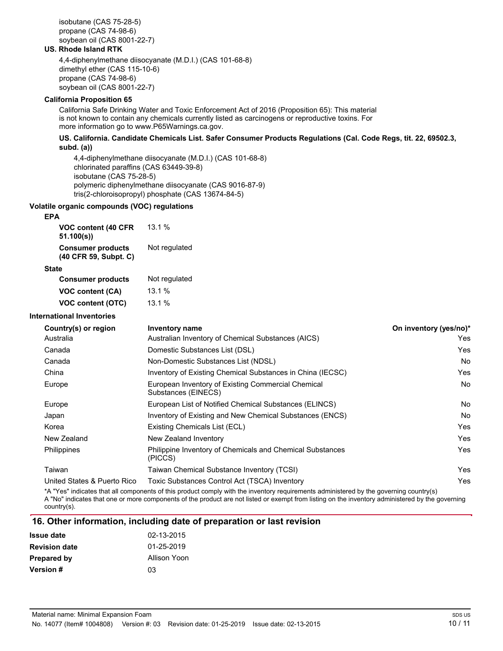isobutane (CAS 75-28-5) propane (CAS 74-98-6) soybean oil (CAS 8001-22-7)

### **US. Rhode Island RTK**

4,4-diphenylmethane diisocyanate (M.D.I.) (CAS 101-68-8) dimethyl ether (CAS 115-10-6) propane (CAS 74-98-6) soybean oil (CAS 8001-22-7)

### **California Proposition 65**

Calirornia Sare Drinking Water and Toxic Enrorcement Act or 2016 (Proposition 65): This material is not known to contain any chemicals currently listed as carcinogens or reproductive toxins. For more information go to www.P65Warnings.ca.gov.

### US. California. Candidate Chemicals List. Safer Consumer Products Regulations (Cal. Code Regs, tit. 22, 69502.3, **subd. (a))**

4,4-diphenylmethane diisocyanate (M.D.I.) (CAS 101-68-8) chlorinated paraffins (CAS 63449-39-8) isobutane (CAS 75-28-5) polymeric diphenylmethane diisocyanate (CAS 9016-87-9) tris(2-chloroisopropyl) phosphate (CAS 13674-84-5)

### **Volatile organic compounds (VOC) regulations**

### **EPA**

| VOC content (40 CFR<br>51.100(s)                  | 13.1%         |
|---------------------------------------------------|---------------|
| <b>Consumer products</b><br>(40 CFR 59, Subpt. C) | Not regulated |

#### **State**

| <b>Consumer products</b> | Not regulated |
|--------------------------|---------------|
| VOC content (CA)         | 13.1%         |
| VOC content (OTC)        | 13.1%         |

#### **International Inventories**

| Country(s) or region        | <b>Inventory name</b>                                                     | On inventory (yes/no)* |
|-----------------------------|---------------------------------------------------------------------------|------------------------|
| Australia                   | Australian Inventory of Chemical Substances (AICS)                        | Yes                    |
| Canada                      | Domestic Substances List (DSL)                                            | Yes                    |
| Canada                      | Non-Domestic Substances List (NDSL)                                       | No                     |
| China                       | Inventory of Existing Chemical Substances in China (IECSC)                | Yes                    |
| Europe                      | European Inventory of Existing Commercial Chemical<br>Substances (EINECS) | No                     |
| Europe                      | European List of Notified Chemical Substances (ELINCS)                    | No                     |
| Japan                       | Inventory of Existing and New Chemical Substances (ENCS)                  | No                     |
| Korea                       | Existing Chemicals List (ECL)                                             | Yes                    |
| New Zealand                 | New Zealand Inventory                                                     | Yes                    |
| <b>Philippines</b>          | Philippine Inventory of Chemicals and Chemical Substances<br>(PICCS)      | Yes                    |
| Taiwan                      | Taiwan Chemical Substance Inventory (TCSI)                                | Yes                    |
| United States & Puerto Rico | Toxic Substances Control Act (TSCA) Inventory                             | Yes                    |

\*A "Yes" indicates that all components or this product comply with the inventory requirements administered by the governing country(s) A "No" indicates that one or more components or the product are not listed or exempt rrom listing on the inventory administered by the governing country(s).

### **1r. Other information, including date of preparation or last revision**

| <b>Issue date</b>    | 02-13-2015   |
|----------------------|--------------|
| <b>Revision date</b> | 01-25-2019   |
| Prepared by          | Allison Yoon |
| <b>Version</b> #     | 03           |